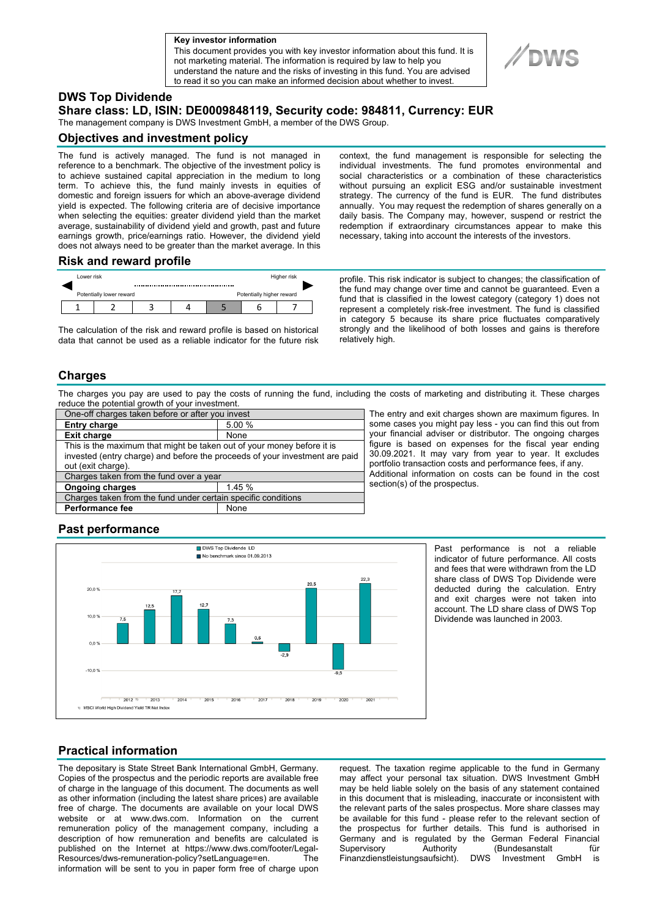#### **a Key investor information**

This document provides you with key investor information about this fund. It is not marketing material. The information is required by law to help you understand the nature and the risks of investing in this fund. You are advised to read it so you can make an informed decision about whether to invest.

# **DWS Top Dividende**

**Share class: LD, ISIN: DE0009848119, Security code: 984811, Currency: EUR** 

The management company is DWS Investment GmbH, a member of the DWS Group.

### **Objectives and investment policy**

The fund is actively managed. The fund is not managed in reference to a benchmark. The objective of the investment policy is to achieve sustained capital appreciation in the medium to long term. To achieve this, the fund mainly invests in equities of domestic and foreign issuers for which an above-average dividend yield is expected. The following criteria are of decisive importance when selecting the equities: greater dividend yield than the market average, sustainability of dividend yield and growth, past and future earnings growth, price/earnings ratio. However, the dividend yield does not always need to be greater than the market average. In this context, the fund management is responsible for selecting the individual investments. The fund promotes environmental and social characteristics or a combination of these characteristics without pursuing an explicit ESG and/or sustainable investment strategy. The currency of the fund is EUR. The fund distributes annually. You may request the redemption of shares generally on a daily basis. The Company may, however, suspend or restrict the redemption if extraordinary circumstances appear to make this necessary, taking into account the interests of the investors.

#### **Risk and reward profile**

| Lower risk                                            |  |  |  |  | Higher risk |  |  |
|-------------------------------------------------------|--|--|--|--|-------------|--|--|
| Potentially lower reward<br>Potentially higher reward |  |  |  |  |             |  |  |
|                                                       |  |  |  |  |             |  |  |

The calculation of the risk and reward profile is based on historical data that cannot be used as a reliable indicator for the future risk profile. This risk indicator is subject to changes; the classification of the fund may change over time and cannot be guaranteed. Even a fund that is classified in the lowest category (category 1) does not represent a completely risk-free investment. The fund is classified in category 5 because its share price fluctuates comparatively strongly and the likelihood of both losses and gains is therefore relatively high.

# **Charges**

The charges you pay are used to pay the costs of running the fund, including the costs of marketing and distributing it. These charges reduce the potential growth of your investment.

| One-off charges taken before or after you invest                                                                                                                            |        |  |  |  |  |
|-----------------------------------------------------------------------------------------------------------------------------------------------------------------------------|--------|--|--|--|--|
| <b>Entry charge</b>                                                                                                                                                         | 5.00 % |  |  |  |  |
| <b>Exit charge</b>                                                                                                                                                          | None   |  |  |  |  |
| This is the maximum that might be taken out of your money before it is<br>invested (entry charge) and before the proceeds of your investment are paid<br>out (exit charge). |        |  |  |  |  |
| Charges taken from the fund over a year                                                                                                                                     |        |  |  |  |  |
| <b>Ongoing charges</b>                                                                                                                                                      | 1.45%  |  |  |  |  |
| Charges taken from the fund under certain specific conditions                                                                                                               |        |  |  |  |  |
| <b>Performance fee</b>                                                                                                                                                      | None   |  |  |  |  |

The entry and exit charges shown are maximum figures. In some cases you might pay less - you can find this out from your financial adviser or distributor. The ongoing charges figure is based on expenses for the fiscal year ending 30.09.2021. It may vary from year to year. It excludes portfolio transaction costs and performance fees, if any. Additional information on costs can be found in the cost section(s) of the prospectus.

# **Past performance**



Past performance is not a reliable indicator of future performance. All costs and fees that were withdrawn from the LD share class of DWS Top Dividende were deducted during the calculation. Entry and exit charges were not taken into account. The LD share class of DWS Top Dividende was launched in 2003.

# **Practical information**

The depositary is State Street Bank International GmbH, Germany. Copies of the prospectus and the periodic reports are available free of charge in the language of this document. The documents as well as other information (including the latest share prices) are available free of charge. The documents are available on your local DWS website or at www.dws.com. Information on the current remuneration policy of the management company, including a description of how remuneration and benefits are calculated is published on the Internet at https://www.dws.com/footer/Legal-Resources/dws-remuneration-policy?setLanguage=en. The information will be sent to you in paper form free of charge upon

request. The taxation regime applicable to the fund in Germany may affect your personal tax situation. DWS Investment GmbH may be held liable solely on the basis of any statement contained in this document that is misleading, inaccurate or inconsistent with the relevant parts of the sales prospectus. More share classes may be available for this fund - please refer to the relevant section of the prospectus for further details. This fund is authorised in Germany and is regulated by the German Federal Financial Supervisory Authority (Bundesanstalt für Finanzdienstleistungsaufsicht). DWS Investment GmbH is